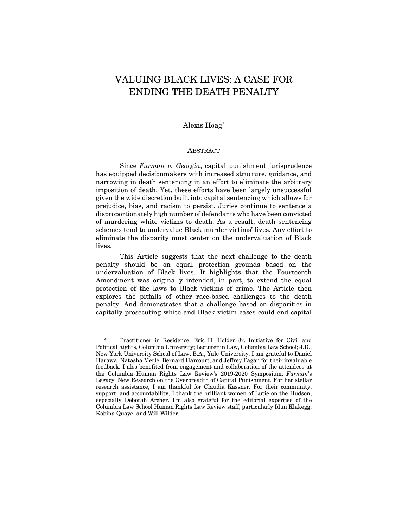# VALUING BLACK LIVES: A CASE FOR ENDING THE DEATH PENALTY

## Alexis Hoag[\\*](#page-0-0)

#### ABSTRACT

Since *Furman v. Georgia*, capital punishment jurisprudence has equipped decisionmakers with increased structure, guidance, and narrowing in death sentencing in an effort to eliminate the arbitrary imposition of death. Yet, these efforts have been largely unsuccessful given the wide discretion built into capital sentencing which allows for prejudice, bias, and racism to persist. Juries continue to sentence a disproportionately high number of defendants who have been convicted of murdering white victims to death. As a result, death sentencing schemes tend to undervalue Black murder victims' lives. Any effort to eliminate the disparity must center on the undervaluation of Black lives.

This Article suggests that the next challenge to the death penalty should be on equal protection grounds based on the undervaluation of Black lives. It highlights that the Fourteenth Amendment was originally intended, in part, to extend the equal protection of the laws to Black victims of crime. The Article then explores the pitfalls of other race-based challenges to the death penalty. And demonstrates that a challenge based on disparities in capitally prosecuting white and Black victim cases could end capital

<span id="page-0-0"></span>Practitioner in Residence, Eric H. Holder Jr. Initiative for Civil and Political Rights, Columbia University; Lecturer in Law, Columbia Law School; J.D., New York University School of Law; B.A., Yale University. I am grateful to Daniel Harawa, Natasha Merle, Bernard Harcourt, and Jeffrey Fagan for their invaluable feedback. I also benefited from engagement and collaboration of the attendees at the Columbia Human Rights Law Review's 2019-2020 Symposium, *Furman*'s Legacy: New Research on the Overbreadth of Capital Punishment. For her stellar research assistance, I am thankful for Claudia Kassner. For their community, support, and accountability, I thank the brilliant women of Lutie on the Hudson, especially Deborah Archer. I'm also grateful for the editorial expertise of the Columbia Law School Human Rights Law Review staff, particularly Idun Klakegg, Kobina Quaye, and Will Wilder.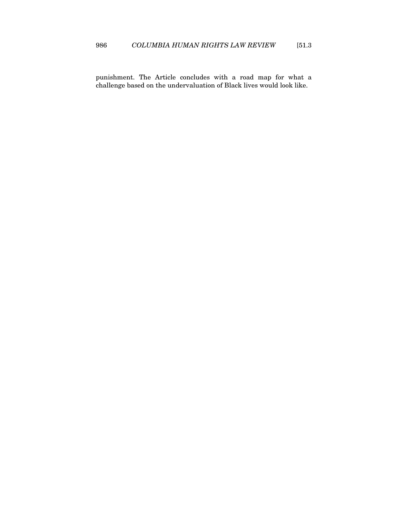punishment. The Article concludes with a road map for what a challenge based on the undervaluation of Black lives would look like.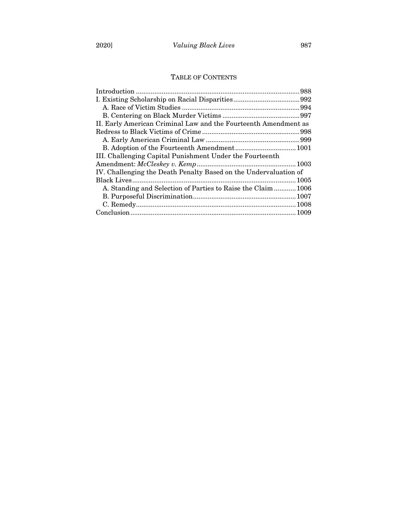## TABLE OF CONTENTS

| II. Early American Criminal Law and the Fourteenth Amendment as  |  |
|------------------------------------------------------------------|--|
|                                                                  |  |
|                                                                  |  |
|                                                                  |  |
| III. Challenging Capital Punishment Under the Fourteenth         |  |
|                                                                  |  |
| IV. Challenging the Death Penalty Based on the Undervaluation of |  |
|                                                                  |  |
| A. Standing and Selection of Parties to Raise the Claim 1006     |  |
|                                                                  |  |
|                                                                  |  |
|                                                                  |  |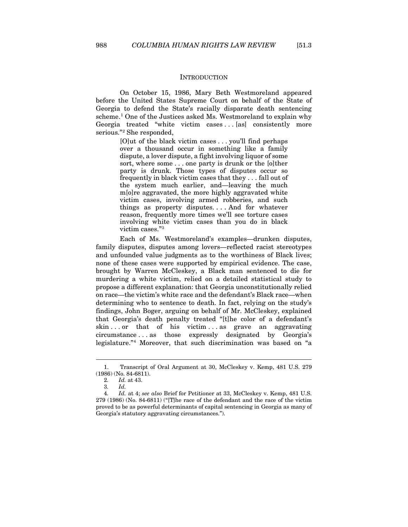#### INTRODUCTION

<span id="page-3-0"></span>On October 15, 1986, Mary Beth Westmoreland appeared before the United States Supreme Court on behalf of the State of Georgia to defend the State's racially disparate death sentencing scheme.<sup>[1](#page-3-1)</sup> One of the Justices asked Ms. Westmoreland to explain why Georgia treated "white victim cases ... [as] consistently more serious."[2](#page-3-2) She responded,

> [O]ut of the black victim cases . . . you'll find perhaps over a thousand occur in something like a family dispute, a lover dispute, a fight involving liquor of some sort, where some . . . one party is drunk or the [o]ther party is drunk. Those types of disputes occur so frequently in black victim cases that they . . . fall out of the system much earlier, and—leaving the much m[o]re aggravated, the more highly aggravated white victim cases, involving armed robberies, and such things as property disputes. . . . And for whatever reason, frequently more times we'll see torture cases involving white victim cases than you do in black victim cases."[3](#page-3-3)

Each of Ms. Westmoreland's examples—drunken disputes, family disputes, disputes among lovers—reflected racist stereotypes and unfounded value judgments as to the worthiness of Black lives; none of these cases were supported by empirical evidence. The case, brought by Warren McCleskey, a Black man sentenced to die for murdering a white victim, relied on a detailed statistical study to propose a different explanation: that Georgia unconstitutionally relied on race—the victim's white race and the defendant's Black race—when determining who to sentence to death. In fact, relying on the study's findings, John Boger, arguing on behalf of Mr. McCleskey, explained that Georgia's death penalty treated "[t]he color of a defendant's skin...or that of his victim...as grave an aggravating circumstance . . . as those expressly designated by Georgia's legislature."[4](#page-3-4) Moreover, that such discrimination was based on "a

<span id="page-3-2"></span><span id="page-3-1"></span><sup>1.</sup> Transcript of Oral Argument at 30, McCleskey v. Kemp, 481 U.S. 279 (1986) (No. 84-6811).

<sup>2</sup>*. Id.* at 43.

<sup>3</sup>*. Id.*

<span id="page-3-4"></span><span id="page-3-3"></span><sup>4</sup>*. Id.* at 4; *see also* Brief for Petitioner at 33, McCleskey v. Kemp, 481 U.S. 279 (1986) (No. 84-6811) ("[T]he race of the defendant and the race of the victim proved to be as powerful determinants of capital sentencing in Georgia as many of Georgia's statutory aggravating circumstances.").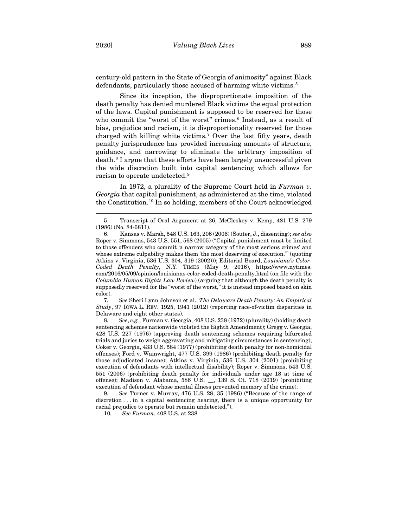century-old pattern in the State of Georgia of animosity" against Black defendants, particularly those accused of harming white victims.<sup>[5](#page-4-0)</sup>

Since its inception, the disproportionate imposition of the death penalty has denied murdered Black victims the equal protection of the laws. Capital punishment is supposed to be reserved for those who commit the "worst of the worst" crimes.<sup>[6](#page-4-1)</sup> Instead, as a result of bias, prejudice and racism, it is disproportionality reserved for those charged with killing white victims.<sup>[7](#page-4-2)</sup> Over the last fifty years, death penalty jurisprudence has provided increasing amounts of structure, guidance, and narrowing to eliminate the arbitrary imposition of death.<sup>[8](#page-4-3)</sup> I argue that these efforts have been largely unsuccessful given the wide discretion built into capital sentencing which allows for racism to operate undetected.[9](#page-4-4)

In 1972, a plurality of the Supreme Court held in *Furman v. Georgia* that capital punishment, as administered at the time, violated the Constitution.[10](#page-4-5) In so holding, members of the Court acknowledged

<span id="page-4-2"></span>7*. See* Sheri Lynn Johnson et al., *The Delaware Death Penalty: An Empirical Study*, 97 IOWA L. REV. 1925, 1941 (2012) (reporting race-of-victim disparities in Delaware and eight other states).

<span id="page-4-3"></span>8*. See*, *e.g.*, Furman v. Georgia, 408 U.S. 238 (1972) (plurality) (holding death sentencing schemes nationwide violated the Eighth Amendment); Gregg v. Georgia, 428 U.S. 227 (1976) (approving death sentencing schemes requiring bifurcated trials and juries to weigh aggravating and mitigating circumstances in sentencing); Coker v. Georgia, 433 U.S. 584 (1977) (prohibiting death penalty for non-homicidal offenses); Ford v. Wainwright, 477 U.S. 399 (1986) (prohibiting death penalty for those adjudicated insane); Atkins v. Virginia, 536 U.S. 304 (2001) (prohibiting execution of defendants with intellectual disability); Roper v. Simmons, 543 U.S. 551 (2006) (prohibiting death penalty for individuals under age 18 at time of offense); Madison v. Alabama, 586 U.S. \_\_, 139 S. Ct. 718 (2019) (prohibiting execution of defendant whose mental illness prevented memory of the crime).

<span id="page-4-5"></span><span id="page-4-4"></span>9*. See* Turner v. Murray, 476 U.S. 28, 35 (1986) ("Because of the range of discretion . . . in a capital sentencing hearing, there is a unique opportunity for racial prejudice to operate but remain undetected.").

10*. See Furman*, 408 U.S. at 238.

<span id="page-4-0"></span><sup>5.</sup> Transcript of Oral Argument at 26, McCleskey v. Kemp, 481 U.S. 279 (1986) (No. 84-6811).

<span id="page-4-1"></span><sup>6.</sup> Kansas v. Marsh, 548 U.S. 163, 206 (2006) (Souter, J., dissenting); *see also* Roper v. Simmons, 543 U.S. 551, 568 (2005) ("Capital punishment must be limited to those offenders who commit 'a narrow category of the most serious crimes' and whose extreme culpability makes them 'the most deserving of execution.'" (quoting Atkins v. Virginia, 536 U.S. 304*,* 319 (2002))); Editorial Board, *Louisiana's Color-Coded Death Penalty*, N.Y. TIMES (May 9, 2016), https://www.nytimes. com/2016/05/09/opinion/louisianas-color-coded-death-penalty.html (on file with the *Columbia Human Rights Law Review*) (arguing that although the death penalty is supposedly reserved for the "worst of the worst," it is instead imposed based on skin color).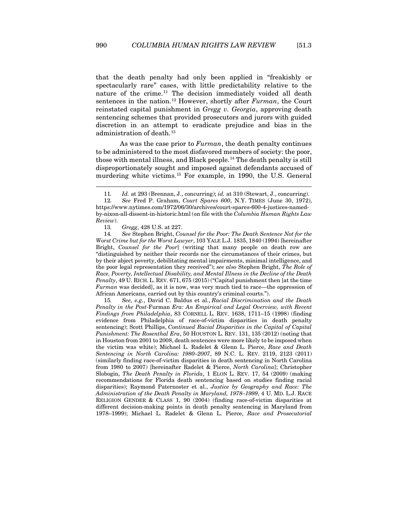that the death penalty had only been applied in "freakishly or spectacularly rare" cases, with little predictability relative to the nature of the crime.[11](#page-5-0) The decision immediately voided all death sentences in the nation.[12](#page-5-1) However, shortly after *Furman*, the Court reinstated capital punishment in *Gregg v. Georgia*, approving death sentencing schemes that provided prosecutors and jurors with guided discretion in an attempt to eradicate prejudice and bias in the administration of death.<sup>[13](#page-5-2)</sup>

As was the case prior to *Furman*, the death penalty continues to be administered to the most disfavored members of society: the poor, those with mental illness, and Black people.<sup>[14](#page-5-3)</sup> The death penalty is still disproportionately sought and imposed against defendants accused of murdering white victims.[15](#page-5-4) For example, in 1990, the U.S. General

13*. Gregg*, 428 U.S. at 227.

<span id="page-5-3"></span><span id="page-5-2"></span>14*. See* Stephen Bright, *Counsel for the Poor: The Death Sentence Not for the Worst Crime but for the Worst Lawyer*, 103 YALE L.J. 1835, 1840 (1994) [hereinafter Bright, *Counsel for the Poor*] (writing that many people on death row are "distinguished by neither their records nor the circumstances of their crimes, but by their abject poverty, debilitating mental impairments, minimal intelligence, and the poor legal representation they received"); *see also* Stephen Bright, *The Role of Race, Poverty, Intellectual Disability, and Mental Illness in the Decline of the Death Penalty*, 49 U. RICH. L. REV. 671, 675 (2015) ("Capital punishment then [at the time *Furman* was decided], as it is now, was very much tied to race—the oppression of African Americans, carried out by this country's criminal courts.").

<span id="page-5-4"></span>15*. See, e.g.*, David C. Baldus et al., *Racial Discrimination and the Death Penalty in the Post-*Furman *Era: An Empirical and Legal Overview, with Recent Findings from Philadelphia*, 83 CORNELL L. REV. 1638, 1711–15 (1998) (finding evidence from Philadelphia of race-of-victim disparities in death penalty sentencing); Scott Phillips, *Continued Racial Disparities in the Capital of Capital Punishment: The Rosenthal Era*, 50 HOUSTON L. REV. 131, 135 (2012) (noting that in Houston from 2001 to 2008, death sentences were more likely to be imposed when the victim was white); Michael L. Radelet & Glenn L. Pierce, *Race and Death Sentencing in North Carolina: 1980–2007*, 89 N.C. L. REV. 2119, 2123 (2011) (similarly finding race-of-victim disparities in death sentencing in North Carolina from 1980 to 2007) [hereinafter Radelet & Pierce, *North Carolina*]; Christopher Slobogin, *The Death Penalty in Florida*, 1 ELON L. REV. 17, 54 (2009) (making recommendations for Florida death sentencing based on studies finding racial disparities); Raymond Paternoster et al., *Justice by Geography and Race: The Administration of the Death Penalty in Maryland, 1978–1999*, 4 U. MD. L.J. RACE RELIGION GENDER & CLASS 1, 90 (2004) (finding race-of-victim disparities at different decision-making points in death penalty sentencing in Maryland from 1978–1999); Michael L. Radelet & Glenn L. Pierce, *Race and Prosecutorial*

<span id="page-5-6"></span><span id="page-5-5"></span><sup>11</sup>*. Id.* at 293 (Brennan, J., concurring); *id.* at 310 (Stewart, J., concurring).

<span id="page-5-1"></span><span id="page-5-0"></span><sup>12</sup>*. See* Fred P. Graham, *Court Spares 600*, N.Y. TIMES (June 30, 1972), https://www.nytimes.com/1972/06/30/archives/court-spares-600-4-justices-namedby-nixon-all-dissent-in-historic.html (on file with the *Columbia Human Rights Law Review*).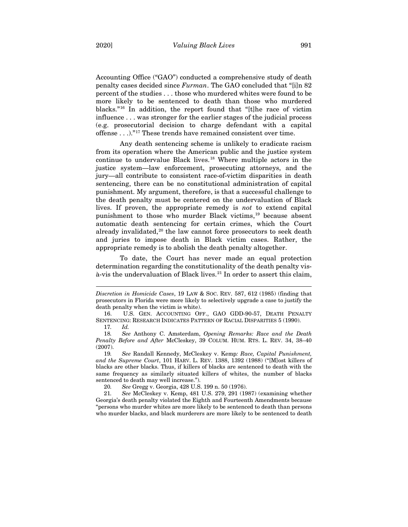Accounting Office ("GAO") conducted a comprehensive study of death penalty cases decided since *Furman*. The GAO concluded that "[i]n 82 percent of the studies . . . those who murdered whites were found to be more likely to be sentenced to death than those who murdered blacks."[16](#page-6-0) In addition, the report found that "[t]he race of victim influence . . . was stronger for the earlier stages of the judicial process (e.g. prosecutorial decision to charge defendant with a capital offense . . .)."[17](#page-6-1) These trends have remained consistent over time.

<span id="page-6-7"></span>Any death sentencing scheme is unlikely to eradicate racism from its operation where the American public and the justice system continue to undervalue Black lives.[18](#page-6-2) Where multiple actors in the justice system—law enforcement, prosecuting attorneys, and the jury—all contribute to consistent race-of-victim disparities in death sentencing, there can be no constitutional administration of capital punishment. My argument, therefore, is that a successful challenge to the death penalty must be centered on the undervaluation of Black lives. If proven, the appropriate remedy is *not* to extend capital punishment to those who murder Black victims,<sup>[19](#page-6-3)</sup> because absent automatic death sentencing for certain crimes, which the Court already invalidated, $20$  the law cannot force prosecutors to seek death and juries to impose death in Black victim cases. Rather, the appropriate remedy is to abolish the death penalty altogether.

<span id="page-6-6"></span>To date, the Court has never made an equal protection determination regarding the constitutionality of the death penalty vis-à-vis the undervaluation of Black lives.<sup>[21](#page-6-5)</sup> In order to assert this claim,

20*. See* Gregg v. Georgia, 428 U.S. 199 n. 50 (1976).

<span id="page-6-5"></span><span id="page-6-4"></span>21*. See* McCleskey v. Kemp, 481 U.S. 279, 291 (1987) (examining whether Georgia's death penalty violated the Eighth and Fourteenth Amendments because "persons who murder whites are more likely to be sentenced to death than persons who murder blacks, and black murderers are more likely to be sentenced to death

*Discretion in Homicide Cases*, 19 LAW & SOC. REV. 587, 612 (1985) (finding that prosecutors in Florida were more likely to selectively upgrade a case to justify the death penalty when the victim is white).

<span id="page-6-0"></span><sup>16.</sup> U.S. GEN. ACCOUNTING OFF., GAO GDD-90-57, DEATH PENALTY SENTENCING: RESEARCH INDICATES PATTERN OF RACIAL DISPARITIES 5 (1990).

<sup>17</sup>*. Id.*

<span id="page-6-2"></span><span id="page-6-1"></span><sup>18</sup>*. See* Anthony C. Amsterdam, *Opening Remarks: Race and the Death Penalty Before and After* McCleskey, 39 COLUM. HUM. RTS. L. REV. 34, 38–40 (2007).

<span id="page-6-3"></span><sup>19</sup>*. See* Randall Kennedy, McCleskey v. Kemp*: Race, Capital Punishment, and the Supreme Court*, 101 HARV. L. REV. 1388, 1392 (1988) ("[M]ost killers of blacks are other blacks. Thus, if killers of blacks are sentenced to death with the same frequency as similarly situated killers of whites, the number of blacks sentenced to death may well increase.").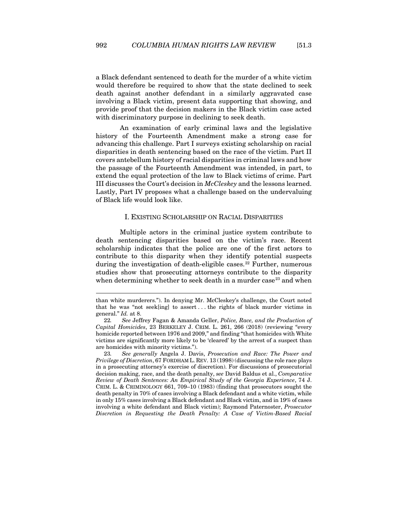a Black defendant sentenced to death for the murder of a white victim would therefore be required to show that the state declined to seek death against another defendant in a similarly aggravated case involving a Black victim, present data supporting that showing, and provide proof that the decision makers in the Black victim case acted with discriminatory purpose in declining to seek death.

An examination of early criminal laws and the legislative history of the Fourteenth Amendment make a strong case for advancing this challenge. Part I surveys existing scholarship on racial disparities in death sentencing based on the race of the victim. Part II covers antebellum history of racial disparities in criminal laws and how the passage of the Fourteenth Amendment was intended, in part, to extend the equal protection of the law to Black victims of crime. Part III discusses the Court's decision in *McCleskey* and the lessons learned. Lastly, Part IV proposes what a challenge based on the undervaluing of Black life would look like.

#### I. EXISTING SCHOLARSHIP ON RACIAL DISPARITIES

<span id="page-7-0"></span>Multiple actors in the criminal justice system contribute to death sentencing disparities based on the victim's race. Recent scholarship indicates that the police are one of the first actors to contribute to this disparity when they identify potential suspects during the investigation of death-eligible cases.<sup>[22](#page-7-1)</sup> Further, numerous studies show that prosecuting attorneys contribute to the disparity when determining whether to seek death in a murder case<sup>[23](#page-7-2)</sup> and when

<span id="page-7-2"></span>23*. See generally* Angela J. Davis, *Prosecution and Race: The Power and Privilege of Discretion*, 67 FORDHAM L. REV. 13 (1998) (discussing the role race plays in a prosecuting attorney's exercise of discretion). For discussions of prosecutorial decision making, race, and the death penalty, *see* David Baldus et al., *Comparative Review of Death Sentences: An Empirical Study of the Georgia Experience*, 74 J. CRIM. L. & CRIMINOLOGY 661, 709–10 (1983) (finding that prosecutors sought the death penalty in 70% of cases involving a Black defendant and a white victim, while in only 15% cases involving a Black defendant and Black victim, and in 19% of cases involving a white defendant and Black victim); Raymond Paternoster, *Prosecutor Discretion in Requesting the Death Penalty: A Case of Victim-Based Racial* 

than white murderers."). In denying Mr. McCleskey's challenge, the Court noted that he was "not seek[ing] to assert . . . the rights of black murder victims in general." *Id.* at 8.

<span id="page-7-1"></span><sup>22</sup>*. See* Jeffrey Fagan & Amanda Geller, *Police, Race, and the Production of Capital Homicides*, 23 BERKELEY J. CRIM. L. 261, 266 (2018) (reviewing "every homicide reported between 1976 and 2009," and finding "that homicides with White victims are significantly more likely to be 'cleared' by the arrest of a suspect than are homicides with minority victims.").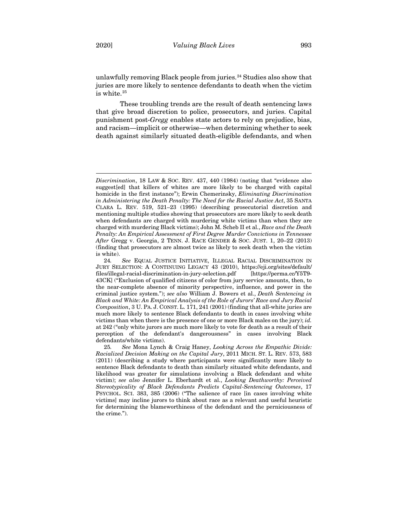unlawfully removing Black people from juries.<sup>[24](#page-8-0)</sup> Studies also show that juries are more likely to sentence defendants to death when the victim is white.<sup>[25](#page-8-1)</sup>

These troubling trends are the result of death sentencing laws that give broad discretion to police, prosecutors, and juries. Capital punishment post-*Gregg* enables state actors to rely on prejudice, bias, and racism—implicit or otherwise—when determining whether to seek death against similarly situated death-eligible defendants, and when

*Discrimination*, 18 LAW & SOC. REV. 437, 440 (1984) (noting that "evidence also suggest[ed] that killers of whites are more likely to be charged with capital homicide in the first instance"); Erwin Chemerinsky, *Eliminating Discrimination in Administering the Death Penalty: The Need for the Racial Justice Act*, 35 SANTA CLARA L. REV. 519, 521–23 (1995) (describing prosecutorial discretion and mentioning multiple studies showing that prosecutors are more likely to seek death when defendants are charged with murdering white victims than when they are charged with murdering Black victims); John M. Scheb II et al., *Race and the Death Penalty: An Empirical Assessment of First Degree Murder Convictions in Tennessee After* Gregg v. Georgia, 2 TENN. J. RACE GENDER & SOC. JUST. 1, 20–22 (2013) (finding that prosecutors are almost twice as likely to seek death when the victim is white).

<span id="page-8-0"></span><sup>24</sup>*. See* EQUAL JUSTICE INITIATIVE, ILLEGAL RACIAL DISCRIMINATION IN JURY SELECTION: A CONTINUING LEGACY 43 (2010), https://eji.org/sites/default/ files/illegal-racial-discrimination-in-jury-selection.pdf [https://perma.cc/Y5T9- 43CK] ("Exclusion of qualified citizens of color from jury service amounts, then, to the near-complete absence of minority perspective, influence, and power in the criminal justice system."); *see also* William J. Bowers et al., *Death Sentencing in Black and White: An Empirical Analysis of the Role of Jurors' Race and Jury Racial Composition*, 3 U. PA. J. CONST. L. 171, 241 (2001) (finding that all-white juries are much more likely to sentence Black defendants to death in cases involving white victims than when there is the presence of one or more Black males on the jury); *id.*  at 242 ("only white jurors are much more likely to vote for death as a result of their perception of the defendant's dangerousness" in cases involving Black defendants/white victims).

<span id="page-8-1"></span><sup>25</sup>*. See* Mona Lynch & Craig Haney, *Looking Across the Empathic Divide: Racialized Decision Making on the Capital Jury*, 2011 MICH. ST. L. REV. 573, 583 (2011) (describing a study where participants were significantly more likely to sentence Black defendants to death than similarly situated white defendants, and likelihood was greater for simulations involving a Black defendant and white victim); *see also* Jennifer L. Eberhardt et al., *Looking Deathworthy: Perceived Stereotypicality of Black Defendants Predicts Capital-Sentencing Outcomes*, 17 PSYCHOL. SCI. 383, 385 (2006) ("The salience of race [in cases involving white victims] may incline jurors to think about race as a relevant and useful heuristic for determining the blameworthiness of the defendant and the perniciousness of the crime.").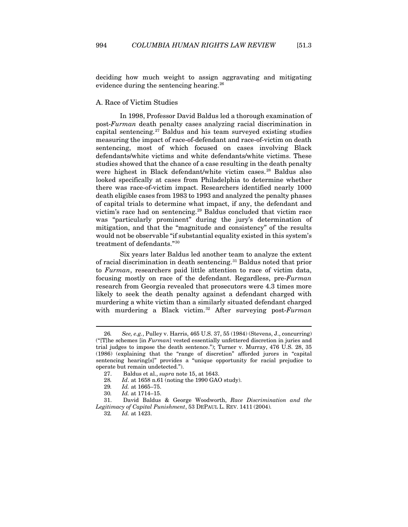deciding how much weight to assign aggravating and mitigating evidence during the sentencing hearing.<sup>[26](#page-9-1)</sup>

## <span id="page-9-0"></span>A. Race of Victim Studies

In 1998, Professor David Baldus led a thorough examination of post-*Furman* death penalty cases analyzing racial discrimination in capital sentencing.[27](#page-9-2) Baldus and his team surveyed existing studies measuring the impact of race-of-defendant and race-of-victim on death sentencing, most of which focused on cases involving Black defendants/white victims and white defendants/white victims. These studies showed that the chance of a case resulting in the death penalty were highest in Black defendant/white victim cases.<sup>[28](#page-9-3)</sup> Baldus also looked specifically at cases from Philadelphia to determine whether there was race-of-victim impact. Researchers identified nearly 1000 death eligible cases from 1983 to 1993 and analyzed the penalty phases of capital trials to determine what impact, if any, the defendant and victim's race had on sentencing.[29](#page-9-4) Baldus concluded that victim race was "particularly prominent" during the jury's determination of mitigation, and that the "magnitude and consistency" of the results would not be observable "if substantial equality existed in this system's treatment of defendants."[30](#page-9-5)

Six years later Baldus led another team to analyze the extent of racial discrimination in death sentencing.[31](#page-9-6) Baldus noted that prior to *Furman*, researchers paid little attention to race of victim data, focusing mostly on race of the defendant. Regardless, pre-*Furman* research from Georgia revealed that prosecutors were 4.3 times more likely to seek the death penalty against a defendant charged with murdering a white victim than a similarly situated defendant charged with murdering a Black victim.[32](#page-9-7) After surveying post-*Furman*

<span id="page-9-1"></span><sup>26</sup>*. See, e.g.*, Pulley v. Harris, 465 U.S. 37, 55 (1984) (Stevens, J., concurring) ("[T]he schemes [in *Furman*] vested essentially unfettered discretion in juries and trial judges to impose the death sentence."); Turner v. Murray, 476 U.S. 28, 35 (1986) (explaining that the "range of discretion" afforded jurors in "capital sentencing hearing[s]" provides a "unique opportunity for racial prejudice to operate but remain undetected.").

<sup>27.</sup> Baldus et al., *supra* not[e 15,](#page-5-5) at 1643.

<sup>28</sup>*. Id*. at 1658 n.61 (noting the 1990 GAO study).

<sup>29</sup>*. Id.* at 1665–75.

<sup>30</sup>*. Id.* at 1714–15.

<span id="page-9-7"></span><span id="page-9-6"></span><span id="page-9-5"></span><span id="page-9-4"></span><span id="page-9-3"></span><span id="page-9-2"></span><sup>31.</sup> David Baldus & George Woodworth, *Race Discrimination and the Legitimacy of Capital Punishment*, 53 DEPAUL L. REV. 1411 (2004).

<sup>32</sup>*. Id.* at 1423.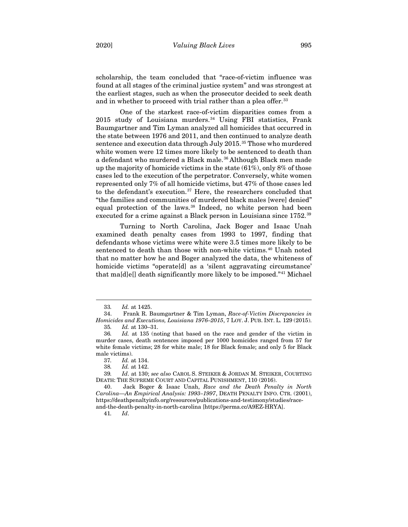scholarship, the team concluded that "race-of-victim influence was found at all stages of the criminal justice system" and was strongest at the earliest stages, such as when the prosecutor decided to seek death and in whether to proceed with trial rather than a plea offer.<sup>[33](#page-10-0)</sup>

One of the starkest race-of-victim disparities comes from a  $2015$  study of Louisiana murders.<sup>[34](#page-10-1)</sup> Using FBI statistics, Frank Baumgartner and Tim Lyman analyzed all homicides that occurred in the state between 1976 and 2011, and then continued to analyze death sentence and execution data through July 2015.<sup>[35](#page-10-2)</sup> Those who murdered white women were 12 times more likely to be sentenced to death than a defendant who murdered a Black male.<sup>[36](#page-10-3)</sup> Although Black men made up the majority of homicide victims in the state (61%), only 8% of those cases led to the execution of the perpetrator. Conversely, white women represented only 7% of all homicide victims, but 47% of those cases led to the defendant's execution.<sup>[37](#page-10-4)</sup> Here, the researchers concluded that "the families and communities of murdered black males [were] denied" equal protection of the laws.<sup>[38](#page-10-5)</sup> Indeed, no white person had been executed for a crime against a Black person in Louisiana since 1752.<sup>[39](#page-10-6)</sup>

Turning to North Carolina, Jack Boger and Isaac Unah examined death penalty cases from 1993 to 1997, finding that defendants whose victims were white were 3.5 times more likely to be sentenced to death than those with non-white victims.<sup>[40](#page-10-7)</sup> Unah noted that no matter how he and Boger analyzed the data, the whiteness of homicide victims "operate<sup>[d]</sup> as a 'silent aggravating circumstance' that ma[d]e[] death significantly more likely to be imposed."[41](#page-10-8) Michael

41*. Id*.

<sup>33</sup>*. Id.* at 1425.

<span id="page-10-1"></span><span id="page-10-0"></span><sup>34.</sup> Frank R. Baumgartner & Tim Lyman, *Race-of-Victim Discrepancies in Homicides and Executions, Louisiana 1976–2015*, 7 LOY. J. PUB. INT. L. 129 (2015). 35*. Id.* at 130–31.

<span id="page-10-3"></span><span id="page-10-2"></span><sup>36</sup>*. Id.* at 135 (noting that based on the race and gender of the victim in murder cases, death sentences imposed per 1000 homicides ranged from 57 for white female victims; 28 for white male; 18 for Black female; and only 5 for Black male victims).

<sup>37</sup>*. Id.* at 134.

<sup>38</sup>*. Id.* at 142.

<span id="page-10-6"></span><span id="page-10-5"></span><span id="page-10-4"></span><sup>39</sup>*. Id*. at 130; *see also* CAROL S. STEIKER & JORDAN M. STEIKER, COURTING DEATH: THE SUPREME COURT AND CAPITAL PUNISHMENT, 110 (2016).

<span id="page-10-8"></span><span id="page-10-7"></span><sup>40.</sup> Jack Boger & Isaac Unah, *Race and the Death Penalty in North Carolina—An Empirical Analysis: 1993–1997*, DEATH PENALTY INFO. CTR. (2001), https://deathpenaltyinfo.org/resources/publications-and-testimony/studies/raceand-the-death-penalty-in-north-carolina [https://perma.cc/A9EZ-HRYA].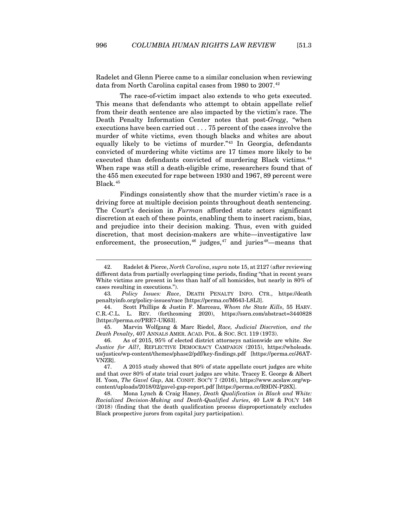Radelet and Glenn Pierce came to a similar conclusion when reviewing data from North Carolina capital cases from 1980 to 2007.<sup>[42](#page-11-0)</sup>

The race-of-victim impact also extends to who gets executed. This means that defendants who attempt to obtain appellate relief from their death sentence are also impacted by the victim's race. The Death Penalty Information Center notes that post-*Gregg*, "when executions have been carried out . . . 75 percent of the cases involve the murder of white victims, even though blacks and whites are about equally likely to be victims of murder."[43](#page-11-1) In Georgia, defendants convicted of murdering white victims are 17 times more likely to be executed than defendants convicted of murdering Black victims.<sup>[44](#page-11-2)</sup> When rape was still a death-eligible crime, researchers found that of the 455 men executed for rape between 1930 and 1967, 89 percent were Black.[45](#page-11-3)

Findings consistently show that the murder victim's race is a driving force at multiple decision points throughout death sentencing. The Court's decision in *Furman* afforded state actors significant discretion at each of these points, enabling them to insert racism, bias, and prejudice into their decision making. Thus, even with guided discretion, that most decision-makers are white—investigative law enforcement, the prosecution,  $46$  judges,  $47$  and juries  $48$ —means that

<span id="page-11-0"></span><sup>42.</sup> Radelet & Pierce, *North Carolina*, *supra* not[e 15,](#page-5-5) at 2127 (after reviewing different data from partially overlapping time periods, finding "that in recent years White victims are present in less than half of all homicides, but nearly in 80% of cases resulting in executions.").

<span id="page-11-1"></span><sup>43</sup>*. Policy Issues: Race*, DEATH PENALTY INFO. CTR., https://death penaltyinfo.org/policy-issues/race [https://perma.cc/M643-L8L3].

<span id="page-11-2"></span><sup>44.</sup> Scott Phillips & Justin F. Marceau, *Whom the State Kills*, 55 HARV. C.R.-C.L. L. REV. (forthcoming 2020), https://ssrn.com/abstract=3440828 [https://perma.cc/PRE7-UK63].

<span id="page-11-3"></span><sup>45.</sup> Marvin Wolfgang & Marc Riedel, *Race, Judicial Discretion, and the Death Penalty*, 407 ANNALS AMER. ACAD. POL. & SOC. SCI. 119 (1973).

<span id="page-11-4"></span><sup>46.</sup> As of 2015, 95% of elected district attorneys nationwide are white. *See Justice for All?*, REFLECTIVE DEMOCRACY CAMPAIGN (2015), https://wholeads. us/justice/wp-content/themes/phase2/pdf/key-findings.pdf [https://perma.cc/J6AT-VNZR].

<span id="page-11-5"></span><sup>47.</sup> A 2015 study showed that 80% of state appellate court judges are white and that over 80% of state trial court judges are white. Tracey E. George & Albert H. Yoon, *The Gavel Gap*, AM. CONST. SOC'Y 7 (2016), https://www.acslaw.org/wpcontent/uploads/2018/02/gavel-gap-report.pdf [https://perma.cc/R9DN-P28X].

<span id="page-11-6"></span><sup>48.</sup> Mona Lynch & Craig Haney, *Death Qualification in Black and White: Racialized Decision-Making and Death-Qualified Juries*, 40 LAW & POL'Y 148 (2018) (finding that the death qualification process disproportionately excludes Black prospective jurors from capital jury participation).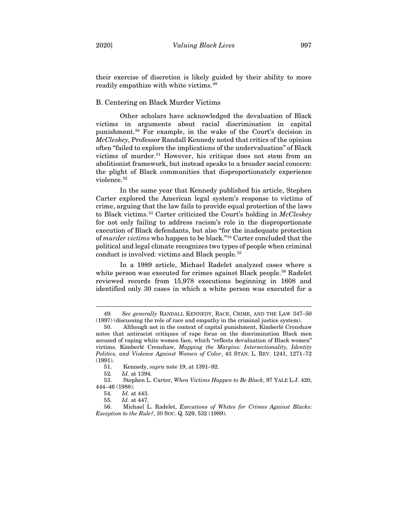their exercise of discretion is likely guided by their ability to more readily empathize with white victims.[49](#page-12-1)

## <span id="page-12-0"></span>B. Centering on Black Murder Victims

Other scholars have acknowledged the devaluation of Black victims in arguments about racial discrimination in capital punishment.[50](#page-12-2) For example, in the wake of the Court's decision in *McCleskey*, Professor Randall Kennedy noted that critics of the opinion often "failed to explore the implications of the undervaluation" of Black victims of murder.<sup>[51](#page-12-3)</sup> However, his critique does not stem from an abolitionist framework, but instead speaks to a broader social concern: the plight of Black communities that disproportionately experience violence.<sup>[52](#page-12-4)</sup>

In the same year that Kennedy published his article, Stephen Carter explored the American legal system's response to victims of crime, arguing that the law fails to provide equal protection of the laws to Black victims.[53](#page-12-5) Carter criticized the Court's holding in *McCleskey* for not only failing to address racism's role in the disproportionate execution of Black defendants, but also "for the inadequate protection of *murder victims* who happen to be black."[54](#page-12-6) Carter concluded that the political and legal climate recognizes two types of people when criminal conduct is involved: victims and Black people.[55](#page-12-7)

In a 1989 article, Michael Radelet analyzed cases where a white person was executed for crimes against Black people.<sup>[56](#page-12-8)</sup> Radelet reviewed records from 15,978 executions beginning in 1608 and identified only 30 cases in which a white person was executed for a

<span id="page-12-1"></span><sup>49</sup>*. See generally* RANDALL KENNEDY, RACE, CRIME, AND THE LAW 347–50 (1997) (discussing the role of race and empathy in the criminal justice system).

<span id="page-12-2"></span><sup>50.</sup> Although not in the context of capital punishment, Kimberlé Crenshaw notes that antiracist critiques of rape focus on the discrimination Black men accused of raping white women face, which "reflects devaluation of Black women" victims. Kimberlé Crenshaw, *Mapping the Margins: Intersectionality, Identity Politics, and Violence Against Women of Color*, 43 STAN. L. REV. 1241, 1271–72 (1991).

<sup>51.</sup> Kennedy, *supra* not[e 19,](#page-6-6) at 1391–92.

<sup>52</sup>*. Id.* at 1394.

<span id="page-12-5"></span><span id="page-12-4"></span><span id="page-12-3"></span><sup>53.</sup> Stephen L. Carter, *When Victims Happen to Be Black*, 97 YALE L.J. 420, 444–46 (1988).

<sup>54</sup>*. Id.* at 443.

<sup>55</sup>*. Id.* at 447.

<span id="page-12-8"></span><span id="page-12-7"></span><span id="page-12-6"></span><sup>56.</sup> Michael L. Radelet, *Executions of Whites for Crimes Against Blacks: Exception to the Rule?*, 30 SOC. Q. 529, 532 (1989).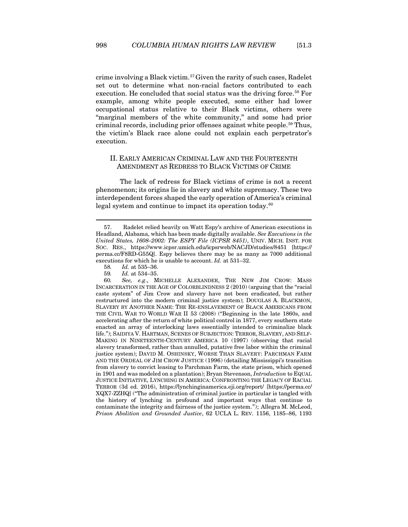crime involving a Black victim.[57](#page-13-1)Given the rarity of such cases, Radelet set out to determine what non-racial factors contributed to each execution. He concluded that social status was the driving force.<sup>[58](#page-13-2)</sup> For example, among white people executed, some either had lower occupational status relative to their Black victims, others were "marginal members of the white community," and some had prior criminal records, including prior offenses against white people.<sup>[59](#page-13-3)</sup> Thus, the victim's Black race alone could not explain each perpetrator's execution.

## <span id="page-13-5"></span><span id="page-13-0"></span>II. EARLY AMERICAN CRIMINAL LAW AND THE FOURTEENTH AMENDMENT AS REDRESS TO BLACK VICTIMS OF CRIME

The lack of redress for Black victims of crime is not a recent phenomenon; its origins lie in slavery and white supremacy. These two interdependent forces shaped the early operation of America's criminal legal system and continue to impact its operation today.<sup>[60](#page-13-4)</sup>

<span id="page-13-1"></span><sup>57.</sup> Radelet relied heavily on Watt Espy's archive of American executions in Headland, Alabama, which has been made digitally available. *See Executions in the United States, 1608–2002: The ESPY File (ICPSR 8451)*, UNIV. MICH. INST. FOR SOC. RES., https://www.icpsr.umich.edu/icpsrweb/NACJD/studies/8451 [https:// perma.cc/F8RD-G55Q]. Espy believes there may be as many as 7000 additional executions for which he is unable to account. *Id.* at 531–32.

<sup>58</sup>*. Id.* at 535–36.

<sup>59</sup>*. Id.* at 534–35.

<span id="page-13-4"></span><span id="page-13-3"></span><span id="page-13-2"></span><sup>60</sup>*. See, e.g*., MICHELLE ALEXANDER, THE NEW JIM CROW: MASS INCARCERATION IN THE AGE OF COLORBLINDNESS 2 (2010) (arguing that the "racial caste system" of Jim Crow and slavery have not been eradicated, but rather restructured into the modern criminal justice system); DOUGLAS A. BLACKMON, SLAVERY BY ANOTHER NAME: THE RE-ENSLAVEMENT OF BLACK AMERICANS FROM THE CIVIL WAR TO WORLD WAR II 53 (2008) ("Beginning in the late 1860s, and accelerating after the return of white political control in 1877, every southern state enacted an array of interlocking laws essentially intended to criminalize black life."); SAIDIYA V. HARTMAN, SCENES OF SUBJECTION: TERROR, SLAVERY, AND SELF-MAKING IN NINETEENTH-CENTURY AMERICA 10 (1997) (observing that racial slavery transformed, rather than annulled, putative free labor within the criminal justice system); DAVID M. OSHINSKY, WORSE THAN SLAVERY: PARCHMAN FARM AND THE ORDEAL OF JIM CROW JUSTICE (1996) (detailing Mississippi's transition from slavery to convict leasing to Parchman Farm, the state prison, which opened in 1901 and was modeled on a plantation); Bryan Stevenson, *Introduction* to EQUAL JUSTICE INITIATIVE, LYNCHING IN AMERICA: CONFRONTING THE LEGACY OF RACIAL TERROR (3d ed. 2016), https://lynchinginamerica.eji.org/report/ [https://perma.cc/ XQX7-ZZHQ] ("The administration of criminal justice in particular is tangled with the history of lynching in profound and important ways that continue to contaminate the integrity and fairness of the justice system."); Allegra M. McLeod, *Prison Abolition and Grounded Justice*, 62 UCLA L. REV. 1156, 1185–86, 1193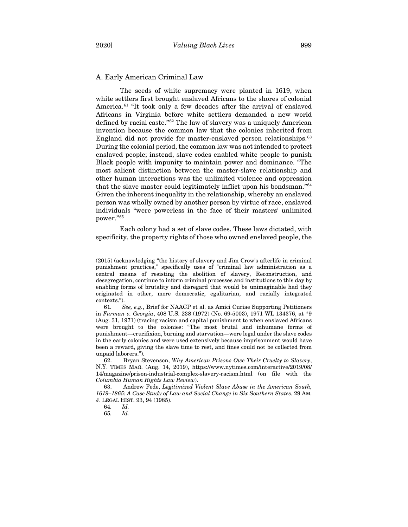### <span id="page-14-0"></span>A. Early American Criminal Law

<span id="page-14-6"></span>The seeds of white supremacy were planted in 1619, when white settlers first brought enslaved Africans to the shores of colonial America.<sup>[61](#page-14-1)</sup> "It took only a few decades after the arrival of enslaved Africans in Virginia before white settlers demanded a new world defined by racial caste."[62](#page-14-2) The law of slavery was a uniquely American invention because the common law that the colonies inherited from England did not provide for master-enslaved person relationships.[63](#page-14-3) During the colonial period, the common law was not intended to protect enslaved people; instead, slave codes enabled white people to punish Black people with impunity to maintain power and dominance. "The most salient distinction between the master-slave relationship and other human interactions was the unlimited violence and oppression that the slave master could legitimately inflict upon his bondsman."[64](#page-14-4) Given the inherent inequality in the relationship, whereby an enslaved person was wholly owned by another person by virtue of race, enslaved individuals "were powerless in the face of their masters' unlimited power."[65](#page-14-5)

Each colony had a set of slave codes. These laws dictated, with specificity, the property rights of those who owned enslaved people, the

<sup>(2015) (</sup>acknowledging "the history of slavery and Jim Crow's afterlife in criminal punishment practices," specifically uses of "criminal law administration as a central means of resisting the abolition of slavery, Reconstruction, and desegregation, continue to inform criminal processes and institutions to this day by enabling forms of brutality and disregard that would be unimaginable had they originated in other, more democratic, egalitarian, and racially integrated contexts.").

<span id="page-14-1"></span><sup>61</sup>*. See, e.g.*, Brief for NAACP et al. as Amici Curiae Supporting Petitioners in *Furman v. Georgia*, 408 U.S. 238 (1972) (No. 69-5003), 1971 WL 134376, at \*9 (Aug. 31, 1971) (tracing racism and capital punishment to when enslaved Africans were brought to the colonies: "The most brutal and inhumane forms of punishment—crucifixion, burning and starvation—were legal under the slave codes in the early colonies and were used extensively because imprisonment would have been a reward, giving the slave time to rest, and fines could not be collected from unpaid laborers.").

<span id="page-14-2"></span><sup>62.</sup> Bryan Stevenson, *Why American Prisons Owe Their Cruelty to Slavery*, N.Y. TIMES MAG. (Aug. 14, 2019), https://www.nytimes.com/interactive/2019/08/ 14/magazine/prison-industrial-complex-slavery-racism.html (on file with the *Columbia Human Rights Law Review*).

<span id="page-14-5"></span><span id="page-14-4"></span><span id="page-14-3"></span><sup>63.</sup> Andrew Fede, *Legitimized Violent Slave Abuse in the American South, 1619–1865: A Case Study of Law and Social Change in Six Southern States*, 29 AM. J. LEGAL HIST. 93, 94 (1985).

<sup>64</sup>*. Id.*

<sup>65</sup>*. Id.*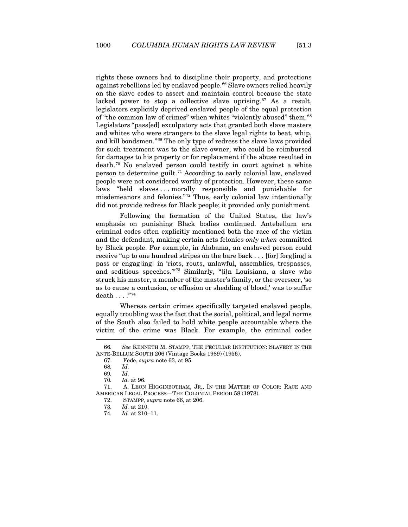<span id="page-15-0"></span>rights these owners had to discipline their property, and protections against rebellions led by enslaved people.[66](#page-15-1) Slave owners relied heavily on the slave codes to assert and maintain control because the state lacked power to stop a collective slave uprising.<sup>[67](#page-15-2)</sup> As a result, legislators explicitly deprived enslaved people of the equal protection of "the common law of crimes" when whites "violently abused" them.[68](#page-15-3) Legislators "pass[ed] exculpatory acts that granted both slave masters and whites who were strangers to the slave legal rights to beat, whip, and kill bondsmen."[69](#page-15-4) The only type of redress the slave laws provided for such treatment was to the slave owner, who could be reimbursed for damages to his property or for replacement if the abuse resulted in death.[70](#page-15-5) No enslaved person could testify in court against a white person to determine guilt.[71](#page-15-6) According to early colonial law, enslaved people were not considered worthy of protection. However, these same laws "held slaves . . . morally responsible and punishable for misdemeanors and felonies."[72](#page-15-7) Thus, early colonial law intentionally did not provide redress for Black people; it provided only punishment.

Following the formation of the United States, the law's emphasis on punishing Black bodies continued. Antebellum era criminal codes often explicitly mentioned both the race of the victim and the defendant, making certain acts felonies *only when* committed by Black people. For example, in Alabama, an enslaved person could receive "up to one hundred stripes on the bare back . . . [for] forg[ing] a pass or engag[ing] in 'riots, routs, unlawful, assemblies, trespasses, and seditious speeches.'"[73](#page-15-8) Similarly, "[i]n Louisiana, a slave who struck his master, a member of the master's family, or the overseer, 'so as to cause a contusion, or effusion or shedding of blood,' was to suffer death . . . ."[74](#page-15-9)

Whereas certain crimes specifically targeted enslaved people, equally troubling was the fact that the social, political, and legal norms of the South also failed to hold white people accountable where the victim of the crime was Black. For example, the criminal codes

<span id="page-15-2"></span><span id="page-15-1"></span><sup>66</sup>*. See* KENNETH M. STAMPP, THE PECULIAR INSTITUTION: SLAVERY IN THE ANTE-BELLUM SOUTH 206 (Vintage Books 1989) (1956).

<sup>67.</sup> Fede, *supra* note [63,](#page-14-6) at 95.

<sup>68</sup>*. Id.*

<sup>69</sup>*. Id.*

<sup>70</sup>*. Id.* at 96.

<span id="page-15-9"></span><span id="page-15-8"></span><span id="page-15-7"></span><span id="page-15-6"></span><span id="page-15-5"></span><span id="page-15-4"></span><span id="page-15-3"></span><sup>71.</sup> A. LEON HIGGINBOTHAM, JR., IN THE MATTER OF COLOR: RACE AND AMERICAN LEGAL PROCESS—THE COLONIAL PERIOD 58 (1978).

<sup>72.</sup> STAMPP, *supra* note [66,](#page-15-0) at 206.

<sup>73</sup>*. Id.* at 210.

<sup>74</sup>*. Id.* at 210–11.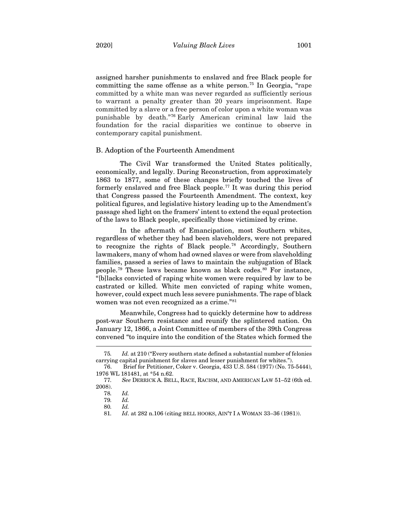assigned harsher punishments to enslaved and free Black people for committing the same offense as a white person. [75](#page-16-1) In Georgia, "rape committed by a white man was never regarded as sufficiently serious to warrant a penalty greater than 20 years imprisonment. Rape committed by a slave or a free person of color upon a white woman was punishable by death."[76](#page-16-2) Early American criminal law laid the foundation for the racial disparities we continue to observe in contemporary capital punishment.

#### <span id="page-16-0"></span>B. Adoption of the Fourteenth Amendment

The Civil War transformed the United States politically, economically, and legally. During Reconstruction, from approximately 1863 to 1877, some of these changes briefly touched the lives of formerly enslaved and free Black people.<sup>[77](#page-16-3)</sup> It was during this period that Congress passed the Fourteenth Amendment. The context, key political figures, and legislative history leading up to the Amendment's passage shed light on the framers' intent to extend the equal protection of the laws to Black people, specifically those victimized by crime.

In the aftermath of Emancipation, most Southern whites, regardless of whether they had been slaveholders, were not prepared to recognize the rights of Black people.[78](#page-16-4) Accordingly, Southern lawmakers, many of whom had owned slaves or were from slaveholding families, passed a series of laws to maintain the subjugation of Black people.<sup>[79](#page-16-5)</sup> These laws became known as black codes.<sup>[80](#page-16-6)</sup> For instance, "[b]lacks convicted of raping white women were required by law to be castrated or killed. White men convicted of raping white women, however, could expect much less severe punishments. The rape of black women was not even recognized as a crime."<sup>[81](#page-16-7)</sup>

Meanwhile, Congress had to quickly determine how to address post-war Southern resistance and reunify the splintered nation. On January 12, 1866, a Joint Committee of members of the 39th Congress convened "to inquire into the condition of the States which formed the

<span id="page-16-2"></span><span id="page-16-1"></span><sup>75</sup>*. Id.* at 210 ("Every southern state defined a substantial number of felonies carrying capital punishment for slaves and lesser punishment for whites.").

<sup>76.</sup>Brief for Petitioner, Coker v. Georgia, 433 U.S. 584 (1977) (No. 75-5444), 1976 WL 181481, at \*54 n.62.

<span id="page-16-7"></span><span id="page-16-6"></span><span id="page-16-5"></span><span id="page-16-4"></span><span id="page-16-3"></span><sup>77</sup>*. See* DERRICK A. BELL, RACE, RACISM, AND AMERICAN LAW 51–52 (6th ed. 2008).

<sup>78</sup>*. Id.*

<sup>79</sup>*. Id.*

<sup>80</sup>*. Id.*

<sup>81</sup>*. Id*. at 282 n.106 (citing BELL HOOKS, AIN'T I A WOMAN 33–36 (1981)).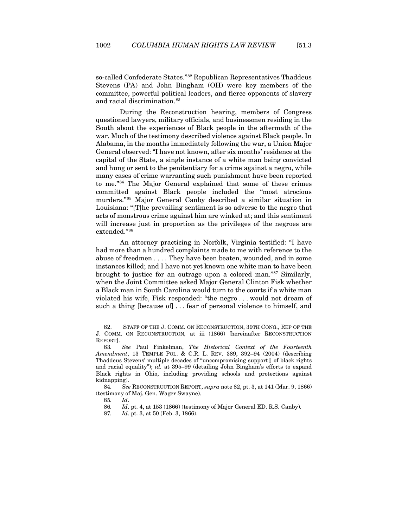<span id="page-17-0"></span>so-called Confederate States."<sup>[82](#page-17-1)</sup> Republican Representatives Thaddeus Stevens (PA) and John Bingham (OH) were key members of the committee, powerful political leaders, and fierce opponents of slavery and racial discrimination.<sup>[83](#page-17-2)</sup>

During the Reconstruction hearing, members of Congress questioned lawyers, military officials, and businessmen residing in the South about the experiences of Black people in the aftermath of the war. Much of the testimony described violence against Black people. In Alabama, in the months immediately following the war, a Union Major General observed: "I have not known, after six months' residence at the capital of the State, a single instance of a white man being convicted and hung or sent to the penitentiary for a crime against a negro, while many cases of crime warranting such punishment have been reported to me."[84](#page-17-3) The Major General explained that some of these crimes committed against Black people included the "most atrocious murders."[85](#page-17-4) Major General Canby described a similar situation in Louisiana: "[T]he prevailing sentiment is so adverse to the negro that acts of monstrous crime against him are winked at; and this sentiment will increase just in proportion as the privileges of the negroes are extended."[86](#page-17-5)

An attorney practicing in Norfolk, Virginia testified: "I have had more than a hundred complaints made to me with reference to the abuse of freedmen . . . . They have been beaten, wounded, and in some instances killed; and I have not yet known one white man to have been brought to justice for an outrage upon a colored man."[87](#page-17-6) Similarly, when the Joint Committee asked Major General Clinton Fisk whether a Black man in South Carolina would turn to the courts if a white man violated his wife, Fisk responded: "the negro . . . would not dream of such a thing [because of] . . . fear of personal violence to himself, and

<span id="page-17-1"></span><sup>82.</sup> STAFF OF THE J. COMM. ON RECONSTRUCTION, 39TH CONG., REP OF THE J. COMM. ON RECONSTRUCTION*,* at iii (1866) [hereinafter RECONSTRUCTION REPORT].

<span id="page-17-2"></span><sup>83</sup>*. See* Paul Finkelman, *The Historical Context of the Fourteenth Amendment*, 13 TEMPLE POL. & C.R. L. REV. 389, 392–94 (2004) (describing Thaddeus Stevens' multiple decades of "uncompromising support[] of black rights and racial equality"); *id.* at 395–99 (detailing John Bingham's efforts to expand Black rights in Ohio, including providing schools and protections against kidnapping).

<span id="page-17-6"></span><span id="page-17-5"></span><span id="page-17-4"></span><span id="page-17-3"></span><sup>84</sup>*. See* RECONSTRUCTION REPORT, *supra* note [82,](#page-17-0) pt. 3, at 141 (Mar. 9, 1866) (testimony of Maj. Gen. Wager Swayne).

<sup>85</sup>*. Id*.

<sup>86</sup>*. Id*. pt. 4, at 153 (1866) (testimony of Major General ED. R.S. Canby).

<sup>87</sup>*. Id*. pt. 3, at 50 (Feb. 3, 1866).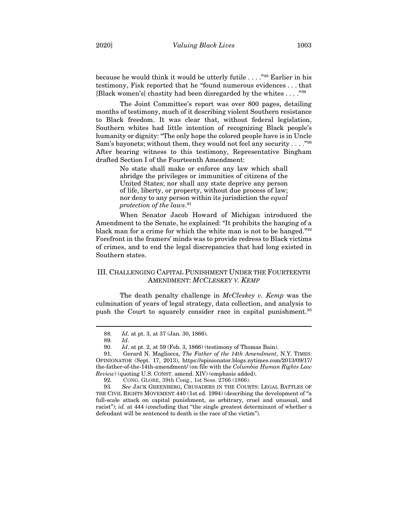because he would think it would be utterly futile . . . ."[88](#page-18-1) Earlier in his testimony, Fisk reported that he "found numerous evidences . . . that [Black women's] chastity had been disregarded by the whites . . . ."[89](#page-18-2)

The Joint Committee's report was over 800 pages, detailing months of testimony, much of it describing violent Southern resistance to Black freedom. It was clear that, without federal legislation, Southern whites had little intention of recognizing Black people's humanity or dignity: "The only hope the colored people have is in Uncle Sam's bayonets; without them, they would not feel any security  $\dots$ ."<sup>[90](#page-18-3)</sup> After bearing witness to this testimony, Representative Bingham drafted Section I of the Fourteenth Amendment:

> No state shall make or enforce any law which shall abridge the privileges or immunities of citizens of the United States; nor shall any state deprive any person of life, liberty, or property, without due process of law; nor deny to any person within its jurisdiction the *equal protection of the laws*. [91](#page-18-4)

When Senator Jacob Howard of Michigan introduced the Amendment to the Senate, he explained: "It prohibits the hanging of a black man for a crime for which the white man is not to be hanged."[92](#page-18-5) Forefront in the framers' minds was to provide redress to Black victims of crimes, and to end the legal discrepancies that had long existed in Southern states.

## <span id="page-18-0"></span>III. CHALLENGING CAPITAL PUNISHMENT UNDER THE FOURTEENTH AMENDMENT: *MCCLESKEY V. KEMP*

The death penalty challenge in *McCleskey v. Kemp* was the culmination of years of legal strategy, data collection, and analysis to push the Court to squarely consider race in capital punishment.<sup>[93](#page-18-6)</sup>

<sup>88</sup>*. Id*. at pt. 3, at 37 (Jan. 30, 1866).

<sup>89</sup>*. Id*.

<sup>90</sup>*. Id*. at pt. 2, at 59 (Feb. 3, 1866) (testimony of Thomas Bain).

<span id="page-18-4"></span><span id="page-18-3"></span><span id="page-18-2"></span><span id="page-18-1"></span><sup>91.</sup> Gerard N. Magliocca, *The Father of the 14th Amendment*, N.Y. TIMES: OPINIONATOR (Sept. 17, 2013), https://opinionator.blogs.nytimes.com/2013/09/17/ the-father-of-the-14th-amendment/ (on file with the *Columbia Human Rights Law Review*) (quoting U.S. CONST. amend. XIV) (emphasis added).

<sup>92.</sup> CONG. GLOBE, 39th Cong., 1st Sess. 2766 (1866).

<span id="page-18-6"></span><span id="page-18-5"></span><sup>93</sup>*. See* JACK GREENBERG, CRUSADERS IN THE COURTS: LEGAL BATTLES OF THE CIVIL RIGHTS MOVEMENT 440 (1st ed. 1994) (describing the development of "a full-scale attack on capital punishment, as arbitrary, cruel and unusual, and racist"); *id.* at 444 (concluding that "the single greatest determinant of whether a defendant will be sentenced to death is the race of the victim").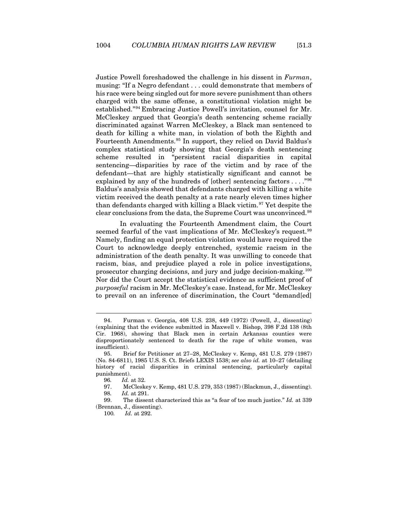Justice Powell foreshadowed the challenge in his dissent in *Furman*, musing: "If a Negro defendant . . . could demonstrate that members of his race were being singled out for more severe punishment than others charged with the same offense, a constitutional violation might be established."[94](#page-19-0) Embracing Justice Powell's invitation, counsel for Mr. McCleskey argued that Georgia's death sentencing scheme racially discriminated against Warren McCleskey, a Black man sentenced to death for killing a white man, in violation of both the Eighth and Fourteenth Amendments.<sup>[95](#page-19-1)</sup> In support, they relied on David Baldus's complex statistical study showing that Georgia's death sentencing scheme resulted in "persistent racial disparities in capital sentencing—disparities by race of the victim and by race of the defendant—that are highly statistically significant and cannot be explained by any of the hundreds of [other] sentencing factors . . . ."[96](#page-19-2) Baldus's analysis showed that defendants charged with killing a white victim received the death penalty at a rate nearly eleven times higher than defendants charged with killing a Black victim.<sup>[97](#page-19-3)</sup> Yet despite the clear conclusions from the data, the Supreme Court was unconvinced.[98](#page-19-4)

In evaluating the Fourteenth Amendment claim, the Court seemed fearful of the vast implications of Mr. McCleskey's request.<sup>[99](#page-19-5)</sup> Namely, finding an equal protection violation would have required the Court to acknowledge deeply entrenched, systemic racism in the administration of the death penalty. It was unwilling to concede that racism, bias, and prejudice played a role in police investigations, prosecutor charging decisions, and jury and judge decision-making.[100](#page-19-6) Nor did the Court accept the statistical evidence as sufficient proof of *purposeful* racism in Mr. McCleskey's case. Instead, for Mr. McCleskey to prevail on an inference of discrimination, the Court "demand[ed]

<span id="page-19-0"></span><sup>94.</sup> Furman v. Georgia, 408 U.S. 238, 449 (1972) (Powell, J., dissenting) (explaining that the evidence submitted in Maxwell v. Bishop, 398 F.2d 138 (8th Cir. 1968), showing that Black men in certain Arkansas counties were disproportionately sentenced to death for the rape of white women, was insufficient).

<span id="page-19-1"></span><sup>95.</sup> Brief for Petitioner at 27–28, McCleskey v. Kemp, 481 U.S. 279 (1987) (No. 84-6811), 1985 U.S. S. Ct. Briefs LEXIS 1538; *see also id.* at 10–27 (detailing history of racial disparities in criminal sentencing, particularly capital punishment).

<sup>96</sup>*. Id.* at 32.

<sup>97.</sup> McCleskey v. Kemp, 481 U.S. 279, 353 (1987) (Blackmun, J., dissenting). 98*. Id.* at 291.

<span id="page-19-6"></span><span id="page-19-5"></span><span id="page-19-4"></span><span id="page-19-3"></span><span id="page-19-2"></span><sup>99.</sup> The dissent characterized this as "a fear of too much justice." *Id.* at 339 (Brennan, J., dissenting).

<sup>100</sup>*. Id.* at 292.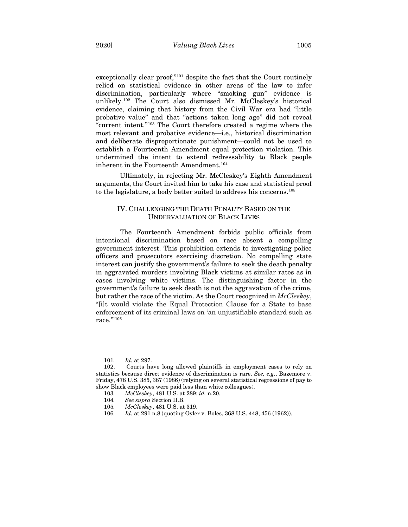exceptionally clear proof,"[101](#page-20-1) despite the fact that the Court routinely relied on statistical evidence in other areas of the law to infer discrimination, particularly where "smoking gun" evidence is unlikely.[102](#page-20-2) The Court also dismissed Mr. McCleskey's historical evidence, claiming that history from the Civil War era had "little probative value" and that "actions taken long ago" did not reveal "current intent."[103](#page-20-3) The Court therefore created a regime where the most relevant and probative evidence—i.e., historical discrimination and deliberate disproportionate punishment—could not be used to establish a Fourteenth Amendment equal protection violation. This undermined the intent to extend redressability to Black people inherent in the Fourteenth Amendment.<sup>[104](#page-20-4)</sup>

<span id="page-20-0"></span>Ultimately, in rejecting Mr. McCleskey's Eighth Amendment arguments, the Court invited him to take his case and statistical proof to the legislature, a body better suited to address his concerns.[105](#page-20-5)

## IV. CHALLENGING THE DEATH PENALTY BASED ON THE UNDERVALUATION OF BLACK LIVES

The Fourteenth Amendment forbids public officials from intentional discrimination based on race absent a compelling government interest. This prohibition extends to investigating police officers and prosecutors exercising discretion. No compelling state interest can justify the government's failure to seek the death penalty in aggravated murders involving Black victims at similar rates as in cases involving white victims. The distinguishing factor in the government's failure to seek death is not the aggravation of the crime, but rather the race of the victim. As the Court recognized in *McCleskey*, "[i]t would violate the Equal Protection Clause for a State to base enforcement of its criminal laws on 'an unjustifiable standard such as race."<sup>[106](#page-20-6)</sup>

<sup>101</sup>*. Id.* at 297.

<span id="page-20-4"></span><span id="page-20-3"></span><span id="page-20-2"></span><span id="page-20-1"></span><sup>102.</sup> Courts have long allowed plaintiffs in employment cases to rely on statistics because direct evidence of discrimination is rare. *See, e.g.*, Bazemore v. Friday, 478 U.S. 385, 387 (1986) (relying on several statistical regressions of pay to show Black employees were paid less than white colleagues).

<span id="page-20-5"></span><sup>103</sup>*. McCleskey*, 481 U.S. at 289; *id.* n.20.

<sup>104</sup>*. See supra* Section II.B.

<sup>105</sup>*. McCleskey*, 481 U.S. at 319.

<span id="page-20-6"></span><sup>106</sup>*. Id.* at 291 n.8 (quoting Oyler v. Boles, 368 U.S. 448, 456 (1962)).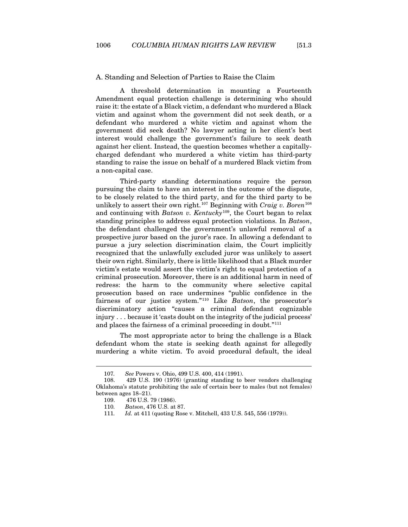<span id="page-21-0"></span>A. Standing and Selection of Parties to Raise the Claim

A threshold determination in mounting a Fourteenth Amendment equal protection challenge is determining who should raise it: the estate of a Black victim, a defendant who murdered a Black victim and against whom the government did not seek death, or a defendant who murdered a white victim and against whom the government did seek death? No lawyer acting in her client's best interest would challenge the government's failure to seek death against her client. Instead, the question becomes whether a capitallycharged defendant who murdered a white victim has third-party standing to raise the issue on behalf of a murdered Black victim from a non-capital case.

Third-party standing determinations require the person pursuing the claim to have an interest in the outcome of the dispute, to be closely related to the third party, and for the third party to be unlikely to assert their own right.[107](#page-21-1) Beginning with *Craig v. Boren*[108](#page-21-2) and continuing with *Batson v. Kentucky*[109](#page-21-3), the Court began to relax standing principles to address equal protection violations. In *Batson*, the defendant challenged the government's unlawful removal of a prospective juror based on the juror's race. In allowing a defendant to pursue a jury selection discrimination claim, the Court implicitly recognized that the unlawfully excluded juror was unlikely to assert their own right. Similarly, there is little likelihood that a Black murder victim's estate would assert the victim's right to equal protection of a criminal prosecution. Moreover, there is an additional harm in need of redress: the harm to the community where selective capital prosecution based on race undermines "public confidence in the fairness of our justice system."[110](#page-21-4) Like *Batson*, the prosecutor's discriminatory action "causes a criminal defendant cognizable injury . . . because it 'casts doubt on the integrity of the judicial process' and places the fairness of a criminal proceeding in doubt."<sup>[111](#page-21-5)</sup>

The most appropriate actor to bring the challenge is a Black defendant whom the state is seeking death against for allegedly murdering a white victim. To avoid procedural default, the ideal

<sup>107</sup>*. See* Powers v. Ohio, 499 U.S. 400, 414 (1991).

<span id="page-21-5"></span><span id="page-21-4"></span><span id="page-21-3"></span><span id="page-21-2"></span><span id="page-21-1"></span><sup>108.</sup> 429 U.S. 190 (1976) (granting standing to beer vendors challenging Oklahoma's statute prohibiting the sale of certain beer to males (but not females) between ages 18–21).

<sup>109.</sup> 476 U.S. 79 (1986).

<sup>110</sup>*. Batson*, 476 U.S. at 87.

<sup>111</sup>*. Id.* at 411 (quoting Rose v. Mitchell, 433 U.S. 545, 556 (1979)).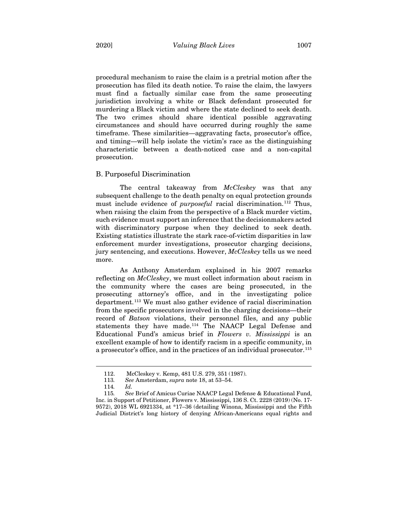procedural mechanism to raise the claim is a pretrial motion after the prosecution has filed its death notice. To raise the claim, the lawyers must find a factually similar case from the same prosecuting jurisdiction involving a white or Black defendant prosecuted for murdering a Black victim and where the state declined to seek death. The two crimes should share identical possible aggravating circumstances and should have occurred during roughly the same timeframe. These similarities—aggravating facts, prosecutor's office, and timing—will help isolate the victim's race as the distinguishing characteristic between a death-noticed case and a non-capital prosecution.

#### <span id="page-22-0"></span>B. Purposeful Discrimination

The central takeaway from *McCleskey* was that any subsequent challenge to the death penalty on equal protection grounds must include evidence of *purposeful* racial discrimination.<sup>[112](#page-22-1)</sup> Thus, when raising the claim from the perspective of a Black murder victim, such evidence must support an inference that the decisionmakers acted with discriminatory purpose when they declined to seek death. Existing statistics illustrate the stark race-of-victim disparities in law enforcement murder investigations, prosecutor charging decisions, jury sentencing, and executions. However, *McCleskey* tells us we need more.

As Anthony Amsterdam explained in his 2007 remarks reflecting on *McCleskey*, we must collect information about racism in the community where the cases are being prosecuted, in the prosecuting attorney's office, and in the investigating police department.[113](#page-22-2) We must also gather evidence of racial discrimination from the specific prosecutors involved in the charging decisions—their record of *Batson* violations, their personnel files, and any public statements they have made.[114](#page-22-3) The NAACP Legal Defense and Educational Fund's amicus brief in *Flowers v. Mississippi* is an excellent example of how to identify racism in a specific community, in a prosecutor's office, and in the practices of an individual prosecutor.<sup>[115](#page-22-4)</sup>

<sup>112.</sup> McCleskey v. Kemp, 481 U.S. 279, 351 (1987).

<sup>113</sup>*. See* Amsterdam, *supra* not[e 18,](#page-6-7) at 53–54.

<sup>114</sup>*. Id.*

<span id="page-22-4"></span><span id="page-22-3"></span><span id="page-22-2"></span><span id="page-22-1"></span><sup>115</sup>*. See* Brief of Amicus Curiae NAACP Legal Defense & Educational Fund, Inc. in Support of Petitioner, Flowers v. Mississippi, 136 S. Ct. 2228 (2019) (No. 17- 9572), 2018 WL 6921334, at \*17–36 (detailing Winona, Mississippi and the Fifth Judicial District's long history of denying African-Americans equal rights and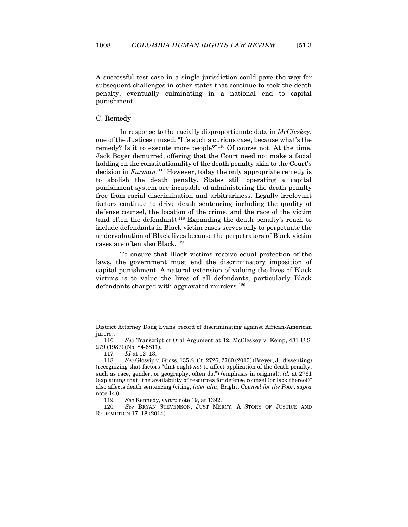A successful test case in a single jurisdiction could pave the way for subsequent challenges in other states that continue to seek the death penalty, eventually culminating in a national end to capital punishment.

#### <span id="page-23-0"></span>C. Remedy

In response to the racially disproportionate data in *McCleskey*, one of the Justices mused: "It's such a curious case, because what's the remedy? Is it to execute more people?"[116](#page-23-1) Of course not. At the time, Jack Boger demurred, offering that the Court need not make a facial holding on the constitutionality of the death penalty akin to the Court's decision in *Furman*. [117](#page-23-2) However, today the only appropriate remedy is to abolish the death penalty. States still operating a capital punishment system are incapable of administering the death penalty free from racial discrimination and arbitrariness. Legally irrelevant factors continue to drive death sentencing including the quality of defense counsel, the location of the crime, and the race of the victim (and often the defendant)[.118](#page-23-3) Expanding the death penalty's reach to include defendants in Black victim cases serves only to perpetuate the undervaluation of Black lives because the perpetrators of Black victim cases are often also Black.<sup>[119](#page-23-4)</sup>

To ensure that Black victims receive equal protection of the laws, the government must end the discriminatory imposition of capital punishment. A natural extension of valuing the lives of Black victims is to value the lives of all defendants, particularly Black defendants charged with aggravated murders.<sup>[120](#page-23-5)</sup>

District Attorney Doug Evans' record of discriminating against African-American jurors).

<span id="page-23-1"></span><sup>116</sup>*. See* Transcript of Oral Argument at 12, McCleskey v. Kemp, 481 U.S. 279 (1987) (No. 84-6811).

<sup>117</sup>*. Id* at 12–13.

<span id="page-23-3"></span><span id="page-23-2"></span><sup>118</sup>*. See* Glossip v. Gross, 135 S. Ct. 2726, 2760 (2015) (Breyer, J., dissenting) (recognizing that factors "that ought *not* to affect application of the death penalty, such as race, gender, or geography, often do.") (emphasis in original); *id.* at 2761 (explaining that "the availability of resources for defense counsel (or lack thereof)" also affects death sentencing (citing, *inter alia*, Bright, *Counsel for the Poor*, *supra*  not[e 14\)](#page-5-6)).

<sup>119</sup>*. See* Kennedy, *supra* not[e 19,](#page-6-6) at 1392.

<span id="page-23-5"></span><span id="page-23-4"></span><sup>120</sup>*. See* BRYAN STEVENSON, JUST MERCY: A STORY OF JUSTICE AND REDEMPTION 17–18 (2014).